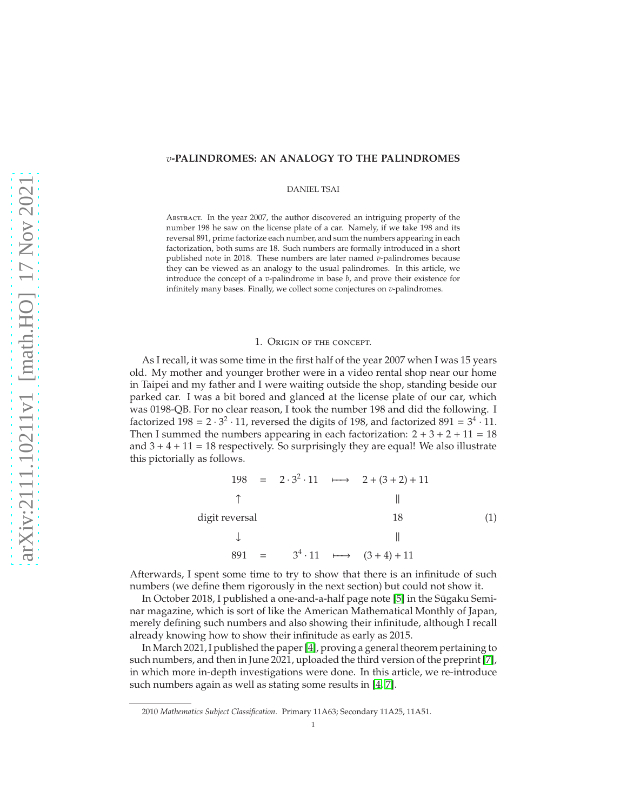## *v***-PALINDROMES: AN ANALOGY TO THE PALINDROMES**

DANIEL TSAI

Abstract. In the year 2007, the author discovered an intriguing property of the number 198 he saw on the license plate of a car. Namely, if we take 198 and its reversal 891, prime factorize each number, and sum the numbers appearing in each factorization, both sums are 18. Such numbers are formally introduced in a short published note in 2018. These numbers are later named *v*-palindromes because they can be viewed as an analogy to the usual palindromes. In this article, we introduce the concept of a *v*-palindrome in base *b*, and prove their existence for infinitely many bases. Finally, we collect some conjectures on *v*-palindromes.

#### <span id="page-0-0"></span>1. Origin of the concept.

As I recall, it was some time in the first half of the year 2007 when I was 15 years old. My mother and younger brother were in a video rental shop near our home in Taipei and my father and I were waiting outside the shop, standing beside our parked car. I was a bit bored and glanced at the license plate of our car, which was 0198-QB. For no clear reason, I took the number 198 and did the following. I factorized  $198 = 2 \cdot 3^2 \cdot 11$ , reversed the digits of 198, and factorized  $891 = 3^4 \cdot 11$ . Then I summed the numbers appearing in each factorization:  $2 + 3 + 2 + 11 = 18$ and  $3 + 4 + 11 = 18$  respectively. So surprisingly they are equal! We also illustrate this pictorially as follows.

$$
198 = 2 \cdot 3^{2} \cdot 11 \longrightarrow 2 + (3 + 2) + 11
$$
\n
$$
\uparrow \qquad \qquad \parallel
$$
\n
$$
\downarrow \qquad \qquad \parallel
$$
\n
$$
891 = 3^{4} \cdot 11 \longmapsto (3 + 4) + 11
$$
\n(1)

Afterwards, I spent some time to try to show that there is an infinitude of such numbers (we define them rigorously in the next section) but could not show it.

In October 2018, I published a one-and-a-half page note [\[5\]](#page-8-0) in the Sūgaku Seminar magazine, which is sort of like the American Mathematical Monthly of Japan, merely defining such numbers and also showing their infinitude, although I recall already knowing how to show their infinitude as early as 2015.

In March 2021, I published the paper [\[4\]](#page-8-1), proving a general theorem pertaining to such numbers, and then in June 2021, uploaded the third version of the preprint [\[7\]](#page-8-2), in which more in-depth investigations were done. In this article, we re-introduce such numbers again as well as stating some results in [\[4,](#page-8-1) [7\]](#page-8-2).

<sup>2010</sup> *Mathematics Subject Classification.* Primary 11A63; Secondary 11A25, 11A51.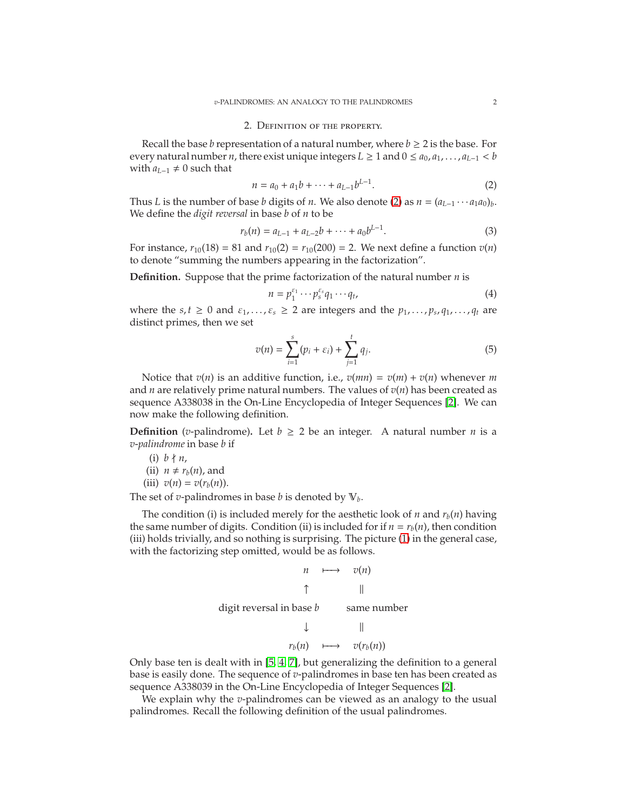### 2. Definition of the property.

Recall the base *b* representation of a natural number, where  $b \geq 2$  is the base. For every natural number *n*, there exist unique integers  $L \geq 1$  and  $0 \leq a_0, a_1, \ldots, a_{L-1} < b$ with  $a_{L-1}$  ≠ 0 such that

<span id="page-1-0"></span>
$$
n = a_0 + a_1b + \dots + a_{L-1}b^{L-1}.
$$
 (2)

Thus *L* is the number of base *b* digits of *n*. We also denote [\(2\)](#page-1-0) as  $n = (a_{L-1} \cdots a_1 a_0)_b$ . We define the *digit reversal* in base *b* of *n* to be

$$
r_b(n) = a_{L-1} + a_{L-2}b + \dots + a_0b^{L-1}.
$$
 (3)

For instance,  $r_{10}(18) = 81$  and  $r_{10}(2) = r_{10}(200) = 2$ . We next define a function  $v(n)$ to denote "summing the numbers appearing in the factorization".

**Definition.** Suppose that the prime factorization of the natural number *n* is

$$
n = p_1^{\varepsilon_1} \cdots p_s^{\varepsilon_s} q_1 \cdots q_t,
$$
\n<sup>(4)</sup>

where the  $s, t \geq 0$  and  $\varepsilon_1, \ldots, \varepsilon_s \geq 2$  are integers and the  $p_1, \ldots, p_s, q_1, \ldots, q_t$  are distinct primes, then we set

$$
v(n) = \sum_{i=1}^{s} (p_i + \varepsilon_i) + \sum_{j=1}^{t} q_j.
$$
 (5)

Notice that  $v(n)$  is an additive function, i.e.,  $v(mn) = v(m) + v(n)$  whenever *m* and *n* are relatively prime natural numbers. The values of  $v(n)$  has been created as sequence A338038 in the On-Line Encyclopedia of Integer Sequences [\[2\]](#page-8-3). We can now make the following definition.

**Definition** (*v*-palindrome). Let  $b \ge 2$  be an integer. A natural number *n* is a *v*-*palindrome* in base *b* if

(i)  $b \nmid n$ , (ii)  $n \neq r_h(n)$ , and (iii)  $v(n) = v(r_b(n)).$ 

The set of *v*-palindromes in base *b* is denoted by  $V_b$ .

The condition (i) is included merely for the aesthetic look of *n* and  $r_b(n)$  having the same number of digits. Condition (ii) is included for if  $n = r_b(n)$ , then condition (iii) holds trivially, and so nothing is surprising. The picture [\(1\)](#page-0-0) in the general case, with the factorizing step omitted, would be as follows.

$$
n \longmapsto v(n)
$$
\ndigit reversal in base *b* same number

\n↓

\n||

\n
$$
r_b(n) \longmapsto v(r_b(n))
$$

Only base ten is dealt with in [\[5,](#page-8-0) [4,](#page-8-1) [7\]](#page-8-2), but generalizing the definition to a general base is easily done. The sequence of *v*-palindromes in base ten has been created as sequence A338039 in the On-Line Encyclopedia of Integer Sequences [\[2\]](#page-8-3).

We explain why the *v*-palindromes can be viewed as an analogy to the usual palindromes. Recall the following definition of the usual palindromes.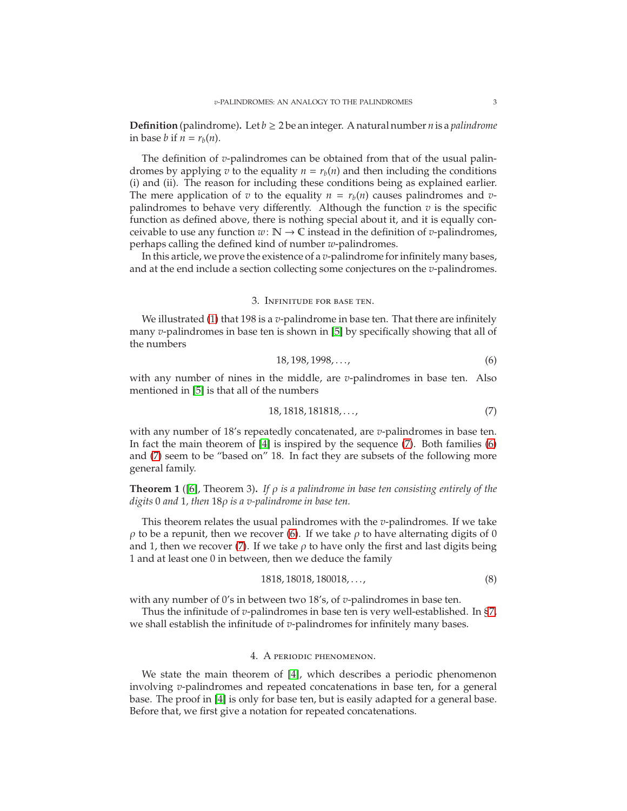**Definition** (palindrome). Let  $b \geq 2$  be an integer. A natural number *n* is a *palindrome* in base *b* if  $n = r_b(n)$ .

The definition of *v*-palindromes can be obtained from that of the usual palindromes by applying *v* to the equality  $n = r_b(n)$  and then including the conditions (i) and (ii). The reason for including these conditions being as explained earlier. The mere application of *v* to the equality  $n = r_b(n)$  causes palindromes and *v*palindromes to behave very differently. Although the function  $v$  is the specific function as defined above, there is nothing special about it, and it is equally conceivable to use any function  $w: \mathbb{N} \to \mathbb{C}$  instead in the definition of *v*-palindromes, perhaps calling the defined kind of number *w*-palindromes.

In this article, we prove the existence of a *v*-palindrome for infinitely many bases, and at the end include a section collecting some conjectures on the *v*-palindromes.

### 3. Infinitude for base ten.

We illustrated [\(1\)](#page-0-0) that 198 is a *v*-palindrome in base ten. That there are infinitely many *v*-palindromes in base ten is shown in [\[5\]](#page-8-0) by specifically showing that all of the numbers

<span id="page-2-1"></span>
$$
18, 198, 1998, \dots,\tag{6}
$$

with any number of nines in the middle, are *v*-palindromes in base ten. Also mentioned in [\[5\]](#page-8-0) is that all of the numbers

<span id="page-2-0"></span>
$$
18,1818,181818,\ldots,\t(7)
$$

with any number of 18's repeatedly concatenated, are *v*-palindromes in base ten. In fact the main theorem of [\[4\]](#page-8-1) is inspired by the sequence [\(7\)](#page-2-0). Both families [\(6\)](#page-2-1) and [\(7\)](#page-2-0) seem to be "based on" 18. In fact they are subsets of the following more general family.

**Theorem 1** ([\[6\]](#page-8-4), Theorem 3)**.** *If* ρ *is a palindrome in base ten consisting entirely of the digits* 0 *and* 1*, then* 18ρ *is a v-palindrome in base ten.*

This theorem relates the usual palindromes with the *v*-palindromes. If we take  $ρ$  to be a repunit, then we recover [\(6\)](#page-2-1). If we take  $ρ$  to have alternating digits of 0 and 1, then we recover [\(7\)](#page-2-0). If we take  $\rho$  to have only the first and last digits being 1 and at least one 0 in between, then we deduce the family

$$
1818, 18018, 180018, \dots,\tag{8}
$$

with any number of 0's in between two 18's, of *v*-palindromes in base ten.

Thus the infinitude of *v*-palindromes in base ten is very well-established. In [§7,](#page-4-0) we shall establish the infinitude of *v*-palindromes for infinitely many bases.

#### 4. A periodic phenomenon.

<span id="page-2-2"></span>We state the main theorem of [\[4\]](#page-8-1), which describes a periodic phenomenon involving *v*-palindromes and repeated concatenations in base ten, for a general base. The proof in [\[4\]](#page-8-1) is only for base ten, but is easily adapted for a general base. Before that, we first give a notation for repeated concatenations.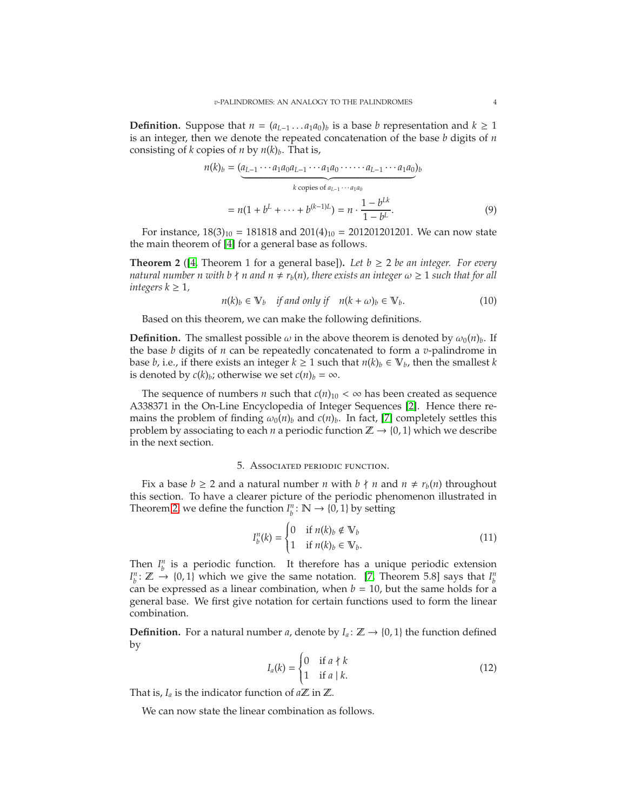**Definition.** Suppose that  $n = (a_{L-1} \ldots a_1 a_0)_b$  is a base *b* representation and  $k \ge 1$ is an integer, then we denote the repeated concatenation of the base *b* digits of *n* consisting of *k* copies of *n* by  $n(k)_b$ . That is,

$$
n(k)_b = (a_{L-1} \cdots a_1 a_0 a_{L-1} \cdots a_1 a_0 \cdots a_{L-1} \cdots a_1 a_0)_b
$$
  
\n
$$
k \text{ copies of } a_{L-1} \cdots a_1 a_0
$$
  
\n
$$
= n(1 + b^L + \cdots + b^{(k-1)L}) = n \cdot \frac{1 - b^{Lk}}{1 - b^L}.
$$
 (9)

For instance,  $18(3)_{10} = 181818$  and  $201(4)_{10} = 201201201201$ . We can now state the main theorem of [\[4\]](#page-8-1) for a general base as follows.

<span id="page-3-0"></span>**Theorem 2** ([\[4,](#page-8-1) Theorem 1 for a general base]). Let  $b \ge 2$  be an integer. For every *natural number n with b*  $\nmid n$  *and*  $n \neq r_b(n)$ , there exists an integer  $\omega \geq 1$  such that for all *integers*  $k \geq 1$ *,* 

$$
n(k)_b \in \mathbb{V}_b \quad \text{if and only if} \quad n(k+\omega)_b \in \mathbb{V}_b. \tag{10}
$$

Based on this theorem, we can make the following definitions.

**Definition.** The smallest possible  $\omega$  in the above theorem is denoted by  $\omega_0(n)_b$ . If the base *b* digits of *n* can be repeatedly concatenated to form a *v*-palindrome in base *b*, i.e., if there exists an integer  $k \ge 1$  such that  $n(k)_b \in V_b$ , then the smallest *k* is denoted by  $c(k)_b$ ; otherwise we set  $c(n)_b = \infty$ .

The sequence of numbers *n* such that  $c(n)_{10} < \infty$  has been created as sequence A338371 in the On-Line Encyclopedia of Integer Sequences [\[2\]](#page-8-3). Hence there remains the problem of finding  $\omega_0(n)_b$  and  $c(n)_b$ . In fact, [\[7\]](#page-8-2) completely settles this problem by associating to each *n* a periodic function  $\mathbb{Z} \rightarrow \{0, 1\}$  which we describe in the next section.

## 5. Associated periodic function.

<span id="page-3-1"></span>Fix a base  $b \ge 2$  and a natural number *n* with  $b \nmid n$  and  $n \ne r_b(n)$  throughout this section. To have a clearer picture of the periodic phenomenon illustrated in Theorem [2,](#page-3-0) we define the function  $I_b^n : \mathbb{N} \to \{0, 1\}$  by setting

$$
I_b^n(k) = \begin{cases} 0 & \text{if } n(k)_b \notin \mathbb{V}_b \\ 1 & \text{if } n(k)_b \in \mathbb{V}_b. \end{cases}
$$
 (11)

Then  $I^n_b$  is a periodic function. It therefore has a unique periodic extension  $I_b^n$ :  $\mathbb{Z} \to \{0, 1\}$  which we give the same notation. [\[7,](#page-8-2) Theorem 5.8] says that  $I_b^n$ can be expressed as a linear combination, when  $b = 10$ , but the same holds for a general base. We first give notation for certain functions used to form the linear combination.

**Definition.** For a natural number *a*, denote by  $I_a: \mathbb{Z} \to \{0, 1\}$  the function defined by

$$
I_a(k) = \begin{cases} 0 & \text{if } a \nmid k \\ 1 & \text{if } a \mid k. \end{cases}
$$
 (12)

That is,  $I_a$  is the indicator function of  $a\mathbb{Z}$  in  $\mathbb{Z}$ .

We can now state the linear combination as follows.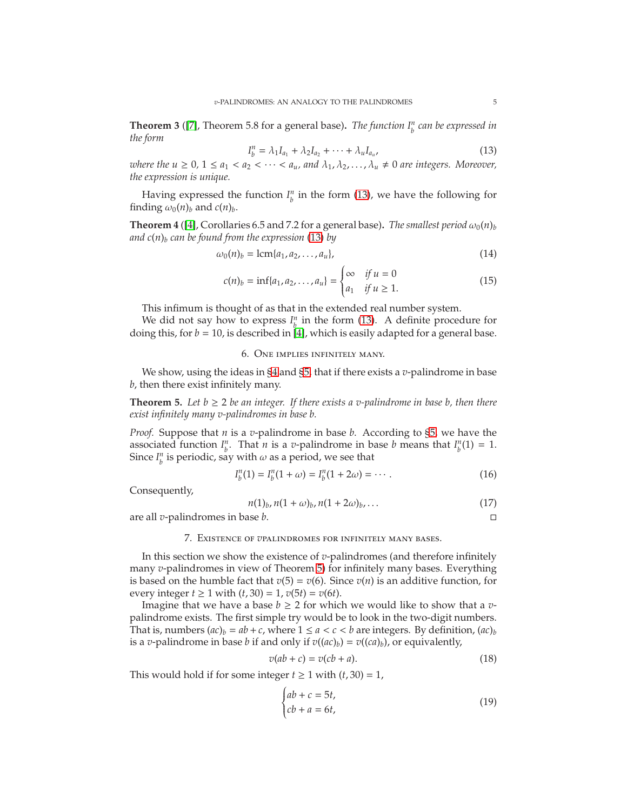**Theorem 3** ([\[7\]](#page-8-2), Theorem 5.8 for a general base). *The function*  $I_b^n$  *can be expressed in the form*

<span id="page-4-1"></span>
$$
I_b^n = \lambda_1 I_{a_1} + \lambda_2 I_{a_2} + \dots + \lambda_u I_{a_u}, \tag{13}
$$

*where the*  $u \geq 0$ *,*  $1 \leq a_1 < a_2 < \cdots < a_u$ , and  $\lambda_1, \lambda_2, \ldots, \lambda_u \neq 0$  are integers. Moreover, *the expression is unique.*

Having expressed the function  $I_l^n$  in the form [\(13\)](#page-4-1), we have the following for finding  $\omega_0(n)_b$  and  $c(n)_b$ .

**Theorem 4** ([\[4\]](#page-8-1), Corollaries 6.5 and 7.2 for a general base). *The smallest period*  $\omega_0(n)_b$ *and c*(*n*)*<sup>b</sup> can be found from the expression* [\(13\)](#page-4-1) *by*

$$
\omega_0(n)_b = \operatorname{lcm}\{a_1, a_2, \dots, a_u\},\tag{14}
$$

$$
c(n)_b = \inf\{a_1, a_2, \dots, a_u\} = \begin{cases} \infty & \text{if } u = 0\\ a_1 & \text{if } u \ge 1. \end{cases}
$$
 (15)

This infimum is thought of as that in the extended real number system.

We did not say how to express  $I_p^n$  in the form [\(13\)](#page-4-1). A definite procedure for doing this, for  $b = 10$ , is described in [\[4\]](#page-8-1), which is easily adapted for a general base.

# 6. One implies infinitely many.

We show, using the ideas in [§4](#page-2-2) and [§5,](#page-3-1) that if there exists a *v*-palindrome in base *b*, then there exist infinitely many.

<span id="page-4-2"></span>**Theorem 5.** Let  $b \ge 2$  be an integer. If there exists a v-palindrome in base b, then there *exist infinitely many v-palindromes in base b.*

*Proof.* Suppose that *n* is a *v*-palindrome in base *b*. According to [§5,](#page-3-1) we have the associated function  $I_p^n$ . That *n* is a *v*-palindrome in base *b* means that  $I_p^n(1) = 1$ . Since  $I_{b}^{n}$  is periodic, say with  $\omega$  as a period, we see that

$$
I_b^n(1) = I_b^n(1 + \omega) = I_b^n(1 + 2\omega) = \cdots.
$$
 (16)

Consequently,

$$
n(1)_b, n(1+\omega)_b, n(1+2\omega)_b, \dots
$$
 (17)

<span id="page-4-0"></span>are all *v*-palindromes in base *b*.

#### 7. Existence of *v*palindromes for infinitely many bases.

In this section we show the existence of *v*-palindromes (and therefore infinitely many *v*-palindromes in view of Theorem [5\)](#page-4-2) for infinitely many bases. Everything is based on the humble fact that  $v(5) = v(6)$ . Since  $v(n)$  is an additive function, for every integer  $t \ge 1$  with  $(t, 30) = 1$ ,  $v(5t) = v(6t)$ .

Imagine that we have a base  $b \geq 2$  for which we would like to show that a *v*palindrome exists. The first simple try would be to look in the two-digit numbers. That is, numbers  $(ac)_b = ab + c$ , where  $1 \le a < c < b$  are integers. By definition,  $(ac)_b$ is a *v*-palindrome in base *b* if and only if  $v((ac)_b) = v((ca)_b)$ , or equivalently,

$$
v(ab + c) = v(cb + a).
$$
\n(18)

This would hold if for some integer  $t \ge 1$  with  $(t, 30) = 1$ ,

<span id="page-4-3"></span>
$$
\begin{cases} ab + c = 5t, \\ cb + a = 6t, \end{cases}
$$
 (19)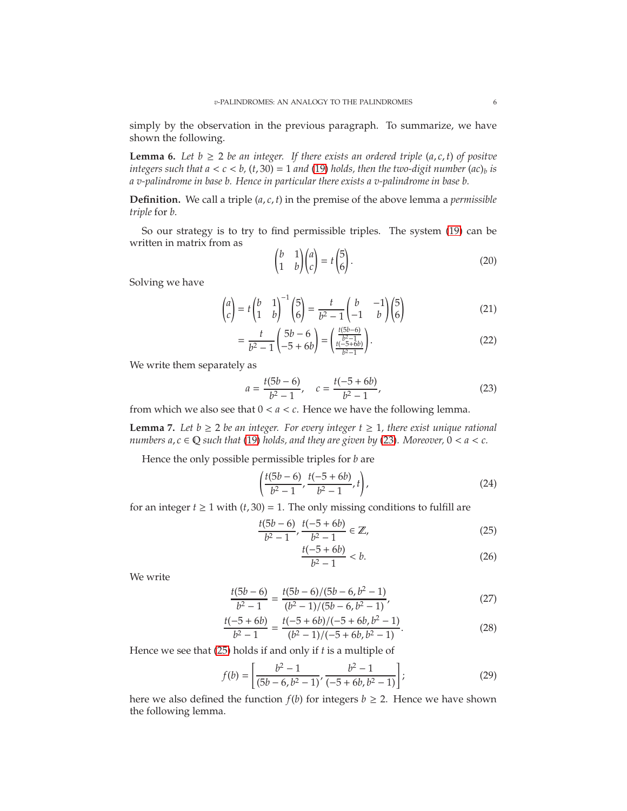simply by the observation in the previous paragraph. To summarize, we have shown the following.

**Lemma 6.** Let  $b \ge 2$  *be an integer. If there exists an ordered triple* (*a*, *c*, *t*) *of positve integers such that*  $a < c < b$ *, (t, 30)* = 1 *and* [\(19\)](#page-4-3) *holds, then the two-digit number*  $(ac)_b$  *is a v-palindrome in base b. Hence in particular there exists a v-palindrome in base b.*

**Definition.** We call a triple (*a*, *c*, *t*) in the premise of the above lemma a *permissible triple* for *b*.

So our strategy is to try to find permissible triples. The system [\(19\)](#page-4-3) can be written in matrix from as

$$
\begin{pmatrix} b & 1 \\ 1 & b \end{pmatrix} \begin{pmatrix} a \\ c \end{pmatrix} = t \begin{pmatrix} 5 \\ 6 \end{pmatrix}.
$$
 (20)

Solving we have

$$
\begin{pmatrix} a \\ c \end{pmatrix} = t \begin{pmatrix} b & 1 \\ 1 & b \end{pmatrix}^{-1} \begin{pmatrix} 5 \\ 6 \end{pmatrix} = \frac{t}{b^2 - 1} \begin{pmatrix} b & -1 \\ -1 & b \end{pmatrix} \begin{pmatrix} 5 \\ 6 \end{pmatrix}
$$
(21)

$$
= \frac{t}{b^2 - 1} \begin{pmatrix} 5b - 6 \ -5 + 6b \end{pmatrix} = \begin{pmatrix} \frac{t(5b - 6)}{b^2 - 1} \\ \frac{t(-5 + 6b)}{b^2 - 1} \end{pmatrix}.
$$
 (22)

We write them separately as

<span id="page-5-0"></span>
$$
a = \frac{t(5b - 6)}{b^2 - 1}, \quad c = \frac{t(-5 + 6b)}{b^2 - 1}, \tag{23}
$$

from which we also see that  $0 < a < c$ . Hence we have the following lemma.

**Lemma 7.** Let  $b \ge 2$  *be an integer. For every integer*  $t \ge 1$ *, there exist unique rational numbers a, c*  $\in$  Q *such that* [\(19\)](#page-4-3) *holds, and they are given by* [\(23\)](#page-5-0)*. Moreover,*  $0 < a < c$ *.* 

Hence the only possible permissible triples for *b* are

$$
\left(\frac{t(5b-6)}{b^2-1}, \frac{t(-5+6b)}{b^2-1}, t\right),\tag{24}
$$

for an integer  $t \ge 1$  with  $(t, 30) = 1$ . The only missing conditions to fulfill are

$$
\frac{t(5b-6)}{b^2-1}, \frac{t(-5+6b)}{b^2-1} \in \mathbb{Z},\tag{25}
$$

<span id="page-5-1"></span>
$$
\frac{t(-5+6b)}{b^2-1} < b. \tag{26}
$$

We write

$$
\frac{t(5b-6)}{b^2-1} = \frac{t(5b-6)/(5b-6, b^2-1)}{(b^2-1)/(5b-6, b^2-1)},
$$
\n(27)

$$
\frac{t(-5+6b)}{b^2-1} = \frac{t(-5+6b)/(-5+6b,b^2-1)}{(b^2-1)/(-5+6b,b^2-1)}.
$$
\n(28)

Hence we see that [\(25\)](#page-5-1) holds if and only if *t* is a multiple of

$$
f(b) = \left[ \frac{b^2 - 1}{(5b - 6, b^2 - 1)}, \frac{b^2 - 1}{(-5 + 6b, b^2 - 1)} \right];
$$
 (29)

here we also defined the function  $f(b)$  for integers  $b \geq 2$ . Hence we have shown the following lemma.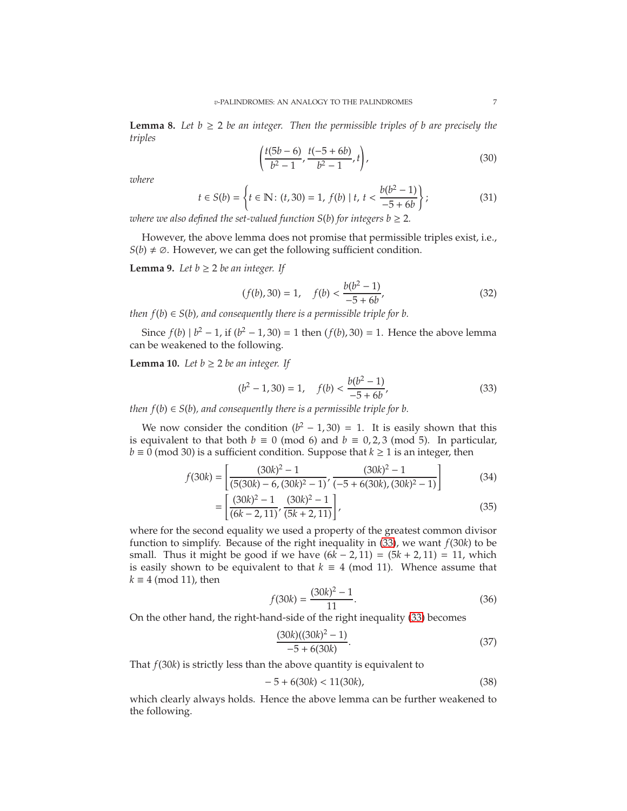**Lemma 8.** Let  $b \ge 2$  be an integer. Then the permissible triples of b are precisely the *triples*

$$
\left(\frac{t(5b-6)}{b^2-1}, \frac{t(-5+6b)}{b^2-1}, t\right),\tag{30}
$$

*where*

$$
t \in S(b) = \left\{ t \in \mathbb{N} \colon (t, 30) = 1, f(b) \mid t, t < \frac{b(b^2 - 1)}{-5 + 6b} \right\};\tag{31}
$$

*where we also defined the set-valued function*  $S(b)$  *for integers*  $b \geq 2$ *.* 

However, the above lemma does not promise that permissible triples exist, i.e.,  $S(b) \neq \emptyset$ . However, we can get the following sufficient condition.

**Lemma 9.** *Let*  $b \geq 2$  *be an integer. If* 

$$
(f(b), 30) = 1, \quad f(b) < \frac{b(b^2 - 1)}{-5 + 6b},\tag{32}
$$

*then*  $f(b) \in S(b)$ , and consequently there is a permissible triple for b.

Since  $f(b) | b^2 - 1$ , if  $(b^2 - 1, 30) = 1$  then  $(f(b), 30) = 1$ . Hence the above lemma can be weakened to the following.

**Lemma 10.** *Let*  $b \geq 2$  *be an integer. If* 

<span id="page-6-0"></span>
$$
(b2 - 1, 30) = 1, \quad f(b) < \frac{b(b2 - 1)}{-5 + 6b},
$$
 (33)

*then*  $f(b) \in S(b)$ , and consequently there is a permissible triple for b.

We now consider the condition  $(b^2 - 1, 30) = 1$ . It is easily shown that this is equivalent to that both  $b \equiv 0 \pmod{6}$  and  $b \equiv 0, 2, 3 \pmod{5}$ . In particular,  $b \equiv 0 \pmod{30}$  is a sufficient condition. Suppose that  $k \ge 1$  is an integer, then

$$
f(30k) = \left[ \frac{(30k)^2 - 1}{(5(30k) - 6, (30k)^2 - 1)}, \frac{(30k)^2 - 1}{(-5 + 6(30k), (30k)^2 - 1)} \right]
$$
(34)

$$
= \left[ \frac{(30k)^2 - 1}{(6k - 2, 11)}, \frac{(30k)^2 - 1}{(5k + 2, 11)} \right],
$$
\n(35)

where for the second equality we used a property of the greatest common divisor function to simplify. Because of the right inequality in [\(33\)](#page-6-0), we want *f*(30*k*) to be small. Thus it might be good if we have  $(6k - 2, 11) = (5k + 2, 11) = 11$ , which is easily shown to be equivalent to that  $k \equiv 4 \pmod{11}$ . Whence assume that  $k \equiv 4 \pmod{11}$ , then

$$
f(30k) = \frac{(30k)^2 - 1}{11}.
$$
 (36)

On the other hand, the right-hand-side of the right inequality [\(33\)](#page-6-0) becomes

$$
\frac{(30k)((30k)^2 - 1)}{-5 + 6(30k)}.\tag{37}
$$

That *f*(30*k*) is strictly less than the above quantity is equivalent to

$$
-5 + 6(30k) < 11(30k),\tag{38}
$$

which clearly always holds. Hence the above lemma can be further weakened to the following.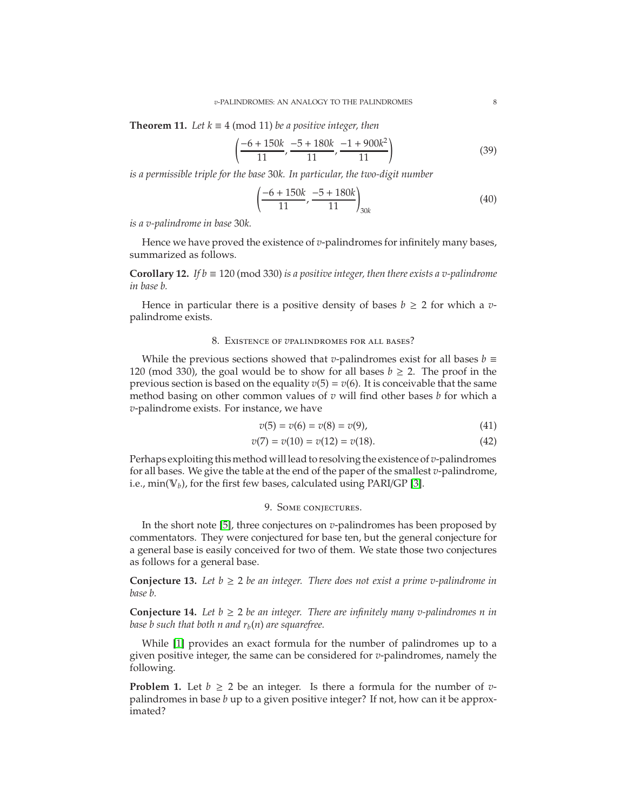**Theorem 11.** *Let*  $k \equiv 4 \pmod{11}$  *be a positive integer, then* 

$$
\left(\frac{-6+150k}{11}, \frac{-5+180k}{11}, \frac{-1+900k^2}{11}\right) \tag{39}
$$

*is a permissible triple for the base* 30*k. In particular, the two-digit number*

$$
\left(\frac{-6 + 150k}{11}, \frac{-5 + 180k}{11}\right)_{30k} \tag{40}
$$

*is a v-palindrome in base* 30*k.*

Hence we have proved the existence of *v*-palindromes for infinitely many bases, summarized as follows.

**Corollary 12.** *If b*  $\equiv$  120 (mod 330) *is a positive integer, then there exists a v-palindrome in base b.*

Hence in particular there is a positive density of bases  $b \ge 2$  for which a *v*palindrome exists.

#### 8. Existence of *v*palindromes for all bases?

While the previous sections showed that *v*-palindromes exist for all bases  $b \equiv$ 120 (mod 330), the goal would be to show for all bases  $b \ge 2$ . The proof in the previous section is based on the equality  $v(5) = v(6)$ . It is conceivable that the same method basing on other common values of *v* will find other bases *b* for which a *v*-palindrome exists. For instance, we have

$$
v(5) = v(6) = v(8) = v(9), \tag{41}
$$

$$
v(7) = v(10) = v(12) = v(18). \tag{42}
$$

Perhaps exploiting thismethod willlead to resolving the existence of *v*-palindromes for all bases. We give the table at the end of the paper of the smallest *v*-palindrome, i.e.,  $min(V_b)$ , for the first few bases, calculated using PARI/GP [\[3\]](#page-8-5).

## 9. Some conjectures.

In the short note [\[5\]](#page-8-0), three conjectures on *v*-palindromes has been proposed by commentators. They were conjectured for base ten, but the general conjecture for a general base is easily conceived for two of them. We state those two conjectures as follows for a general base.

**Conjecture 13.** Let  $b \ge 2$  be an integer. There does not exist a prime v-palindrome in *base b.*

**Conjecture 14.** Let  $b \ge 2$  be an integer. There are infinitely many v-palindromes n in *base b such that both n and*  $r_b(n)$  *are squarefree.* 

While [\[1\]](#page-8-6) provides an exact formula for the number of palindromes up to a given positive integer, the same can be considered for *v*-palindromes, namely the following.

**Problem 1.** Let  $b \ge 2$  be an integer. Is there a formula for the number of *v*palindromes in base *b* up to a given positive integer? If not, how can it be approximated?